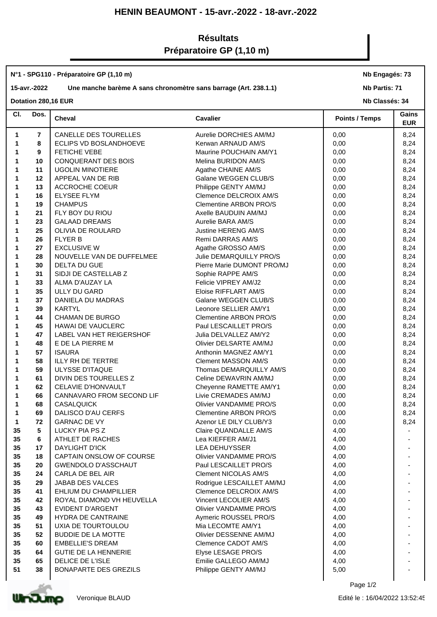## **HENIN BEAUMONT - 15-avr.-2022 - 18-avr.-2022**

# **Résultats Préparatoire GP (1,10 m)**

#### **N°1 - SPG110 - Préparatoire GP (1,10 m)**

### **15-avr.-2022 Une manche barème A sans chronomètre sans barrage (Art. 238.1.1)**

**Nb Engagés: 73**

**Nb Partis: 71**

#### **Dotation 280,16 EUR**

**Nb Classés: 34** 

| CI.         | Dos.           | Cheval                       | <b>Cavalier</b>               | <b>Points / Temps</b> | Gains<br><b>EUR</b> |
|-------------|----------------|------------------------------|-------------------------------|-----------------------|---------------------|
| $\mathbf 1$ | $\overline{7}$ | <b>CANELLE DES TOURELLES</b> | Aurelie DORCHIES AM/MJ        | 0,00                  | 8,24                |
| 1           | 8              | ECLIPS VD BOSLANDHOEVE       | Kerwan ARNAUD AM/S            | 0,00                  | 8,24                |
| 1           | 9              | <b>FETICHE VEBE</b>          | Maurine POUCHAIN AM/Y1        | 0,00                  | 8,24                |
| 1           | 10             | CONQUERANT DES BOIS          | Melina BURIDON AM/S           | 0,00                  | 8,24                |
| 1           | 11             | <b>UGOLIN MINOTIERE</b>      | Agathe CHAINE AM/S            | 0,00                  | 8,24                |
| 1           | 12             | APPEAL VAN DE RIB            | Galane WEGGEN CLUB/S          | 0,00                  | 8,24                |
| 1           | 13             | ACCROCHE COEUR               | Philippe GENTY AM/MJ          | 0,00                  | 8,24                |
| 1           | 16             | <b>ELYSEE FLYM</b>           | Clemence DELCROIX AM/S        | 0,00                  | 8,24                |
| 1           | 19             | <b>CHAMPUS</b>               | Clementine ARBON PRO/S        | 0,00                  | 8,24                |
| 1           | 21             | FLY BOY DU RIOU              | Axelle BAUDUIN AM/MJ          | 0,00                  | 8,24                |
| 1           | 23             | <b>GALAAD DREAMS</b>         | Aurelie BARA AM/S             | 0,00                  | 8,24                |
| 1           | 25             | OLIVIA DE ROULARD            | Justine HERENG AM/S           | 0,00                  | 8,24                |
| 1           | 26             | <b>FLYER B</b>               | Remi DARRAS AM/S              | 0,00                  | 8,24                |
| 1           | 27             | <b>EXCLUSIVE W</b>           | Agathe GROSSO AM/S            | 0,00                  | 8,24                |
| 1           | 28             | NOUVELLE VAN DE DUFFELMEE    | Julie DEMARQUILLY PRO/S       | 0,00                  | 8,24                |
| 1           | 30             | DELTA DU GUE                 | Pierre Marie DUMONT PRO/MJ    | 0,00                  | 8,24                |
| 1           | 31             | SIDJI DE CASTELLAB Z         | Sophie RAPPE AM/S             | 0,00                  | 8,24                |
| 1           | 33             | ALMA D'AUZAY LA              | Felicie VIPREY AM/J2          | 0,00                  | 8,24                |
| 1           | 35             | ULLY DU GARD                 | Eloise RIFFLART AM/S          | 0,00                  | 8,24                |
| 1           | 37             | DANIELA DU MADRAS            | Galane WEGGEN CLUB/S          | 0,00                  | 8,24                |
| 1           | 39             | <b>KARTYL</b>                | Leonore SELLIER AM/Y1         | 0,00                  | 8,24                |
| 1           | 44             | <b>CHAMAN DE BURGO</b>       | <b>Clementine ARBON PRO/S</b> | 0,00                  | 8,24                |
| 1           | 45             | <b>HAWAI DE VAUCLERC</b>     | Paul LESCAILLET PRO/S         | 0,00                  | 8,24                |
| 1           | 47             | LABEL VAN HET REIGERSHOF     | Julia DELVALLEZ AM/Y2         | 0,00                  | 8,24                |
| 1           | 48             | E DE LA PIERRE M             | Olivier DELSARTE AM/MJ        | 0,00                  | 8,24                |
| 1           | 57             | <b>ISAURA</b>                | Anthonin MAGNEZ AM/Y1         | 0,00                  | 8,24                |
| 1           | 58             | ILLY RH DE TERTRE            | Clement MASSON AM/S           | 0,00                  | 8,24                |
| 1           | 59             | <b>ULYSSE D'ITAQUE</b>       | Thomas DEMARQUILLY AM/S       | 0,00                  | 8,24                |
| 1           | 61             | DIVIN DES TOURELLES Z        | Celine DEWAVRIN AM/MJ         | 0,00                  | 8,24                |
| 1           | 62             | CELAVIE D'HONVAULT           | Cheyenne RAMETTE AM/Y1        | 0,00                  | 8,24                |
| 1           | 66             | CANNAVARO FROM SECOND LIF    | Livie CREMADES AM/MJ          | 0,00                  | 8,24                |
| 1           | 68             | <b>CASALQUICK</b>            | Olivier VANDAMME PRO/S        | 0,00                  | 8,24                |
| 1           | 69             | DALISCO D'AU CERFS           | Clementine ARBON PRO/S        | 0,00                  | 8,24                |
| 1           | 72             | <b>GARNAC DE VY</b>          | Azenor LE DILY CLUB/Y3        | 0,00                  | 8,24                |
| 35          | 5              | LUCKY PIA PS Z               | Claire QUANDALLE AM/S         | 4,00                  |                     |
| 35          | 6              | ATHLET DE RACHES             | Lea KIEFFER AM/J1             | 4,00                  |                     |
| 35          | 17             | <b>DAYLIGHT D'ICK</b>        | <b>LEA DEHUYSSER</b>          | 4,00                  |                     |
| 35          | 18             | CAPTAIN ONSLOW OF COURSE     | Olivier VANDAMME PRO/S        | 4,00                  |                     |
| 35          | 20             | <b>GWENDOLO D'ASSCHAUT</b>   | Paul LESCAILLET PRO/S         | 4,00                  |                     |
| 35          | 24             | CARLA DE BEL AIR             | Clement NICOLAS AM/S          | 4,00                  |                     |
| 35          | 29             | JABAB DES VALCES             | Rodrigue LESCAILLET AM/MJ     | 4,00                  |                     |
| 35          | 41             | EHLIUM DU CHAMPILLIER        | Clemence DELCROIX AM/S        | 4,00                  |                     |
| 35          | 42             | ROYAL DIAMOND VH HEUVELLA    | Vincent LECOLIER AM/S         | 4,00                  |                     |
| 35          | 43             | <b>EVIDENT D'ARGENT</b>      | Olivier VANDAMME PRO/S        | 4,00                  |                     |
| 35          | 49             | <b>HYDRA DE CANTRAINE</b>    | Aymeric ROUSSEL PRO/S         | 4,00                  |                     |
| 35          | 51             | UXIA DE TOURTOULOU           | Mia LECOMTE AM/Y1             | 4,00                  |                     |
| 35          | 52             | <b>BUDDIE DE LA MOTTE</b>    | Olivier DESSENNE AM/MJ        | 4,00                  |                     |
| 35          | 60             | <b>EMBELLIE'S DREAM</b>      | Clemence CADOT AM/S           | 4,00                  |                     |
| 35          | 64             | <b>GUTIE DE LA HENNERIE</b>  | Elyse LESAGE PRO/S            | 4,00                  |                     |
| 35          | 65<br>38       | DELICE DE L'ISLE             | Emilie GALLEGO AM/MJ          | 4,00                  |                     |
| 51          |                | <b>BONAPARTE DES GREZILS</b> | Philippe GENTY AM/MJ          | 5,00                  |                     |
|             |                |                              |                               |                       |                     |